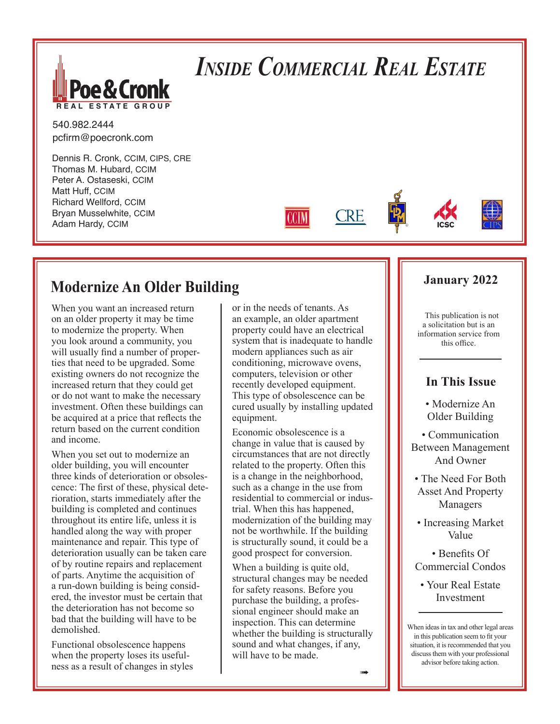

# *Inside Commercial Real Estate*

**CRE** 

540.982.2444 pcfirm@poecronk.com

Dennis R. Cronk, CCIM, CIPS, CRE Thomas M. Hubard, CCIM Peter A. Ostaseski, CCIM Matt Huff, CCIM Richard Wellford, CCIM Bryan Musselwhite, CCIM Adam Hardy, CCIM

### **Modernize An Older Building**

When you want an increased return on an older property it may be time to modernize the property. When you look around a community, you will usually find a number of properties that need to be upgraded. Some existing owners do not recognize the increased return that they could get or do not want to make the necessary investment. Often these buildings can be acquired at a price that reflects the return based on the current condition and income.

When you set out to modernize an older building, you will encounter three kinds of deterioration or obsolescence: The first of these, physical deterioration, starts immediately after the building is completed and continues throughout its entire life, unless it is handled along the way with proper maintenance and repair. This type of deterioration usually can be taken care of by routine repairs and replacement of parts. Anytime the acquisition of a run-down building is being considered, the investor must be certain that the deterioration has not become so bad that the building will have to be demolished.

Functional obsolescence happens when the property loses its usefulness as a result of changes in styles

or in the needs of tenants. As an example, an older apartment property could have an electrical system that is inadequate to handle modern appliances such as air conditioning, microwave ovens, computers, television or other recently developed equipment. This type of obsolescence can be cured usually by installing updated equipment.

Economic obsolescence is a change in value that is caused by circumstances that are not directly related to the property. Often this is a change in the neighborhood, such as a change in the use from residential to commercial or industrial. When this has happened, modernization of the building may not be worthwhile. If the building is structurally sound, it could be a good prospect for conversion.

When a building is quite old, structural changes may be needed for safety reasons. Before you purchase the building, a professional engineer should make an inspection. This can determine whether the building is structurally sound and what changes, if any, will have to be made.

### **January 2022**

This publication is not a solicitation but is an information service from this office.

### **In This Issue**

• Modernize An Older Building

• Communication Between Management And Owner

- The Need For Both Asset And Property Managers
- Increasing Market Value

• Benefits Of Commercial Condos

• Your Real Estate Investment

When ideas in tax and other legal areas in this publication seem to fit your situation, it is recommended that you discuss them with your professional advisor before taking action.

 $\rightarrow$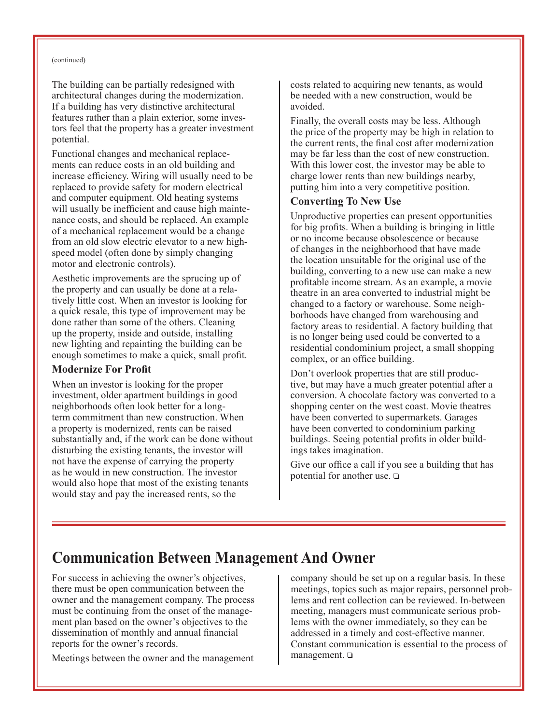#### (continued)

The building can be partially redesigned with architectural changes during the modernization. If a building has very distinctive architectural features rather than a plain exterior, some investors feel that the property has a greater investment potential.

Functional changes and mechanical replacements can reduce costs in an old building and increase efficiency. Wiring will usually need to be replaced to provide safety for modern electrical and computer equipment. Old heating systems will usually be inefficient and cause high maintenance costs, and should be replaced. An example of a mechanical replacement would be a change from an old slow electric elevator to a new highspeed model (often done by simply changing motor and electronic controls).

Aesthetic improvements are the sprucing up of the property and can usually be done at a relatively little cost. When an investor is looking for a quick resale, this type of improvement may be done rather than some of the others. Cleaning up the property, inside and outside, installing new lighting and repainting the building can be enough sometimes to make a quick, small profit.

#### **Modernize For Profit**

When an investor is looking for the proper investment, older apartment buildings in good neighborhoods often look better for a longterm commitment than new construction. When a property is modernized, rents can be raised substantially and, if the work can be done without disturbing the existing tenants, the investor will not have the expense of carrying the property as he would in new construction. The investor would also hope that most of the existing tenants would stay and pay the increased rents, so the

costs related to acquiring new tenants, as would be needed with a new construction, would be avoided.

Finally, the overall costs may be less. Although the price of the property may be high in relation to the current rents, the final cost after modernization may be far less than the cost of new construction. With this lower cost, the investor may be able to charge lower rents than new buildings nearby, putting him into a very competitive position.

#### **Converting To New Use**

Unproductive properties can present opportunities for big profits. When a building is bringing in little or no income because obsolescence or because of changes in the neighborhood that have made the location unsuitable for the original use of the building, converting to a new use can make a new profitable income stream. As an example, a movie theatre in an area converted to industrial might be changed to a factory or warehouse. Some neighborhoods have changed from warehousing and factory areas to residential. A factory building that is no longer being used could be converted to a residential condominium project, a small shopping complex, or an office building.

Don't overlook properties that are still productive, but may have a much greater potential after a conversion. A chocolate factory was converted to a shopping center on the west coast. Movie theatres have been converted to supermarkets. Garages have been converted to condominium parking buildings. Seeing potential profits in older buildings takes imagination.

Give our office a call if you see a building that has potential for another use.  $\Box$ 

### **Communication Between Management And Owner**

For success in achieving the owner's objectives, there must be open communication between the owner and the management company. The process must be continuing from the onset of the management plan based on the owner's objectives to the dissemination of monthly and annual financial reports for the owner's records.

Meetings between the owner and the management

company should be set up on a regular basis. In these meetings, topics such as major repairs, personnel problems and rent collection can be reviewed. In-between meeting, managers must communicate serious problems with the owner immediately, so they can be addressed in a timely and cost-effective manner. Constant communication is essential to the process of  $m$ anagement.  $\square$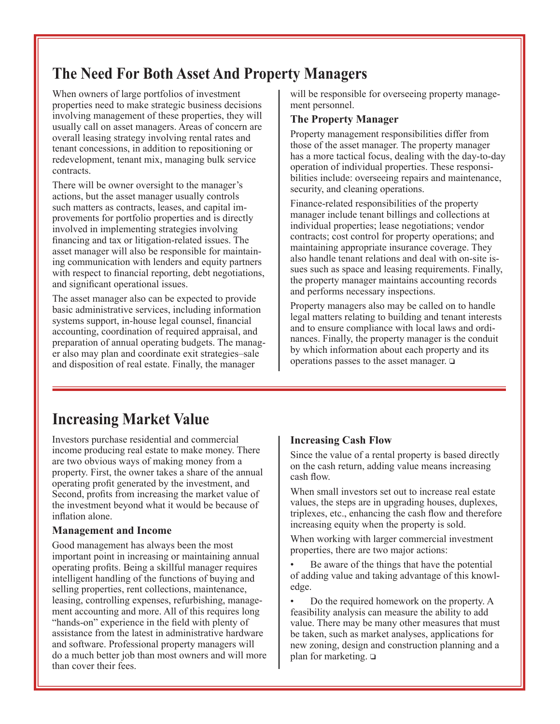## **The Need For Both Asset And Property Managers**

When owners of large portfolios of investment properties need to make strategic business decisions involving management of these properties, they will usually call on asset managers. Areas of concern are overall leasing strategy involving rental rates and tenant concessions, in addition to repositioning or redevelopment, tenant mix, managing bulk service contracts.

There will be owner oversight to the manager's actions, but the asset manager usually controls such matters as contracts, leases, and capital improvements for portfolio properties and is directly involved in implementing strategies involving financing and tax or litigation-related issues. The asset manager will also be responsible for maintaining communication with lenders and equity partners with respect to financial reporting, debt negotiations, and significant operational issues.

The asset manager also can be expected to provide basic administrative services, including information systems support, in-house legal counsel, financial accounting, coordination of required appraisal, and preparation of annual operating budgets. The manager also may plan and coordinate exit strategies–sale and disposition of real estate. Finally, the manager

will be responsible for overseeing property management personnel.

#### **The Property Manager**

Property management responsibilities differ from those of the asset manager. The property manager has a more tactical focus, dealing with the day-to-day operation of individual properties. These responsibilities include: overseeing repairs and maintenance, security, and cleaning operations.

Finance-related responsibilities of the property manager include tenant billings and collections at individual properties; lease negotiations; vendor contracts; cost control for property operations; and maintaining appropriate insurance coverage. They also handle tenant relations and deal with on-site issues such as space and leasing requirements. Finally, the property manager maintains accounting records and performs necessary inspections.

Property managers also may be called on to handle legal matters relating to building and tenant interests and to ensure compliance with local laws and ordinances. Finally, the property manager is the conduit by which information about each property and its operations passes to the asset manager.  $\Box$ 

### **Increasing Market Value**

Investors purchase residential and commercial income producing real estate to make money. There are two obvious ways of making money from a property. First, the owner takes a share of the annual operating profit generated by the investment, and Second, profits from increasing the market value of the investment beyond what it would be because of inflation alone.

### **Management and Income**

Good management has always been the most important point in increasing or maintaining annual operating profits. Being a skillful manager requires intelligent handling of the functions of buying and selling properties, rent collections, maintenance, leasing, controlling expenses, refurbishing, management accounting and more. All of this requires long "hands-on" experience in the field with plenty of assistance from the latest in administrative hardware and software. Professional property managers will do a much better job than most owners and will more than cover their fees.

#### **Increasing Cash Flow**

Since the value of a rental property is based directly on the cash return, adding value means increasing cash flow.

When small investors set out to increase real estate values, the steps are in upgrading houses, duplexes, triplexes, etc., enhancing the cash flow and therefore increasing equity when the property is sold.

When working with larger commercial investment properties, there are two major actions:

Be aware of the things that have the potential of adding value and taking advantage of this knowledge.

• Do the required homework on the property. A feasibility analysis can measure the ability to add value. There may be many other measures that must be taken, such as market analyses, applications for new zoning, design and construction planning and a plan for marketing.  $\Box$